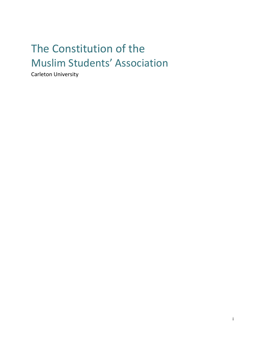# The Constitution of the Muslim Students' Association

Carleton University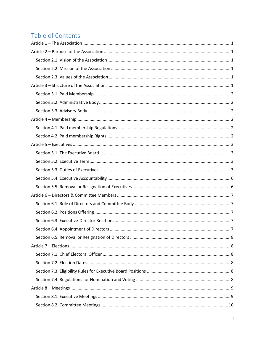## Table of Contents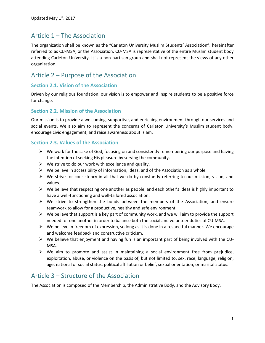### <span id="page-3-0"></span>Article 1 – The Association

The organization shall be known as the "Carleton University Muslim Students' Association", hereinafter referred to as CU-MSA, or the Association. CU-MSA is representative of the entire Muslim student body attending Carleton University. It is a non-partisan group and shall not represent the views of any other organization.

### <span id="page-3-1"></span>Article 2 – Purpose of the Association

### <span id="page-3-2"></span>**Section 2.1. Vision of the Association**

Driven by our religious foundation, our vision is to empower and inspire students to be a positive force for change.

### <span id="page-3-3"></span>**Section 2.2. Mission of the Association**

Our mission is to provide a welcoming, supportive, and enriching environment through our services and social events. We also aim to represent the concerns of Carleton University's Muslim student body, encourage civic engagement, and raise awareness about Islam.

### <span id="page-3-4"></span>**Section 2.3. Values of the Association**

- $\triangleright$  We work for the sake of God, focusing on and consistently remembering our purpose and having the intention of seeking His pleasure by serving the community.
- $\triangleright$  We strive to do our work with excellence and quality.
- $\triangleright$  We believe in accessibility of information, ideas, and of the Association as a whole.
- $\triangleright$  We strive for consistency in all that we do by constantly referring to our mission, vision, and values.
- $\triangleright$  We believe that respecting one another as people, and each other's ideas is highly important to have a well-functioning and well-tailored association.
- $\triangleright$  We strive to strengthen the bonds between the members of the Association, and ensure teamwork to allow for a productive, healthy and safe environment.
- $\triangleright$  We believe that support is a key part of community work, and we will aim to provide the support needed for one another in order to balance both the social and volunteer duties of CU-MSA.
- $\triangleright$  We believe in freedom of expression, so long as it is done in a respectful manner. We encourage and welcome feedback and constructive criticism.
- $\triangleright$  We believe that enjoyment and having fun is an important part of being involved with the CU-MSA.
- $\triangleright$  We aim to promote and assist in maintaining a social environment free from prejudice, exploitation, abuse, or violence on the basis of, but not limited to, sex, race, language, religion, age, national or social status, political affiliation or belief, sexual orientation, or marital status.

### <span id="page-3-5"></span>Article 3 – Structure of the Association

The Association is composed of the Membership, the Administrative Body, and the Advisory Body.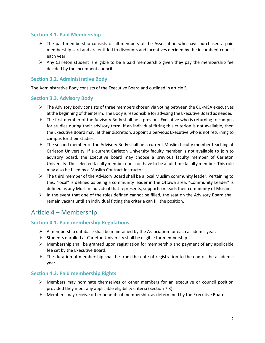### <span id="page-4-0"></span>**Section 3.1. Paid Membership**

- $\triangleright$  The paid membership consists of all members of the Association who have purchased a paid membership card and are entitled to discounts and incentives decided by the incumbent council each year.
- $\triangleright$  Any Carleton student is eligible to be a paid membership given they pay the membership fee decided by the incumbent council

### <span id="page-4-1"></span>**Section 3.2. Administrative Body**

The Administrative Body consists of the Executive Board and outlined in article 5.

### <span id="page-4-2"></span>**Section 3.3. Advisory Body**

- $\triangleright$  The Advisory Body consists of three members chosen via voting between the CU-MSA executives at the beginning of their term. The Body is responsible for advising the Executive Board as needed.
- $\triangleright$  The first member of the Advisory Body shall be a previous Executive who is returning to campus for studies during their advisory term. If an individual fitting this criterion is not available, then the Executive Board may, at their discretion, appoint a pervious Executive who is not returning to campus for their studies.
- $\triangleright$  The second member of the Advisory Body shall be a current Muslim faculty member teaching at Carleton University. If a current Carleton University faculty member is not available to join to advisory board, the Executive board may choose a previous faculty member of Carleton University. The selected faculty member does not have to be a full-time faculty member. This role may also be filled by a Muslim Contract Instructor.
- $\triangleright$  The third member of the Advisory Board shall be a local Muslim community leader. Pertaining to this, "local" is defined as being a community leader in the Ottawa area. "Community Leader" is defined as any Muslim individual that represents, supports or leads their community of Muslims.
- $\triangleright$  In the event that one of the roles defined cannot be filled, the seat on the Advisory Board shall remain vacant until an individual fitting the criteria can fill the position.

### <span id="page-4-3"></span>Article 4 – Membership

### <span id="page-4-4"></span>**Section 4.1. Paid membership Regulations**

- $\triangleright$  A membership database shall be maintained by the Association for each academic year.
- $\triangleright$  Students enrolled at Carleton University shall be eligible for membership.
- $\triangleright$  Membership shall be granted upon registration for membership and payment of any applicable fee set by the Executive Board.
- $\triangleright$  The duration of membership shall be from the date of registration to the end of the academic year.

### <span id="page-4-5"></span>**Section 4.2. Paid membership Rights**

- Members may nominate themselves or other members for an executive or council position provided they meet any applicable eligibility criteria (Section 7.3).
- $\triangleright$  Members may receive other benefits of membership, as determined by the Executive Board.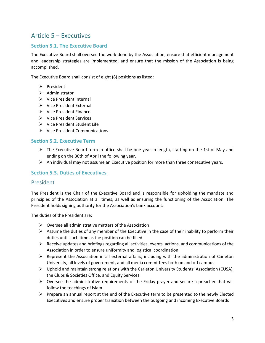### <span id="page-5-0"></span>Article 5 – Executives

### <span id="page-5-1"></span>**Section 5.1. The Executive Board**

The Executive Board shall oversee the work done by the Association, ensure that efficient management and leadership strategies are implemented, and ensure that the mission of the Association is being accomplished.

The Executive Board shall consist of eight (8) positions as listed:

- $\triangleright$  President
- $\triangleright$  Administrator
- $\triangleright$  Vice President Internal
- $\triangleright$  Vice President External
- $\triangleright$  Vice President Finance
- Vice President Services
- Vice President Student Life
- $\triangleright$  Vice President Communications

#### <span id="page-5-2"></span>**Section 5.2. Executive Term**

- $\triangleright$  The Executive Board term in office shall be one year in length, starting on the 1st of May and ending on the 30th of April the following year.
- $\triangleright$  An individual may not assume an Executive position for more than three consecutive years.

#### <span id="page-5-3"></span>**Section 5.3. Duties of Executives**

#### President

The President is the Chair of the Executive Board and is responsible for upholding the mandate and principles of the Association at all times, as well as ensuring the functioning of the Association. The President holds signing authority for the Association's bank account.

The duties of the President are:

- $\triangleright$  Oversee all administrative matters of the Association
- $\triangleright$  Assume the duties of any member of the Executive in the case of their inability to perform their duties until such time as the position can be filled
- $\triangleright$  Receive updates and briefings regarding all activities, events, actions, and communications of the Association in order to ensure uniformity and logistical coordination
- $\triangleright$  Represent the Association in all external affairs, including with the administration of Carleton University, all levels of government, and all media committees both on and off campus
- $\triangleright$  Uphold and maintain strong relations with the Carleton University Students' Association (CUSA), the Clubs & Societies Office, and Equity Services
- $\triangleright$  Oversee the administrative requirements of the Friday prayer and secure a preacher that will follow the teachings of Islam
- $\triangleright$  Prepare an annual report at the end of the Executive term to be presented to the newly Elected Executives and ensure proper transition between the outgoing and incoming Executive Boards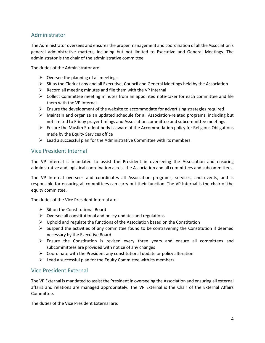### Administrator

The Administrator oversees and ensures the proper management and coordination of all the Association's general administrative matters, including but not limited to Executive and General Meetings. The administrator is the chair of the administrative committee.

The duties of the Administrator are:

- $\triangleright$  Oversee the planning of all meetings
- $\triangleright$  Sit as the Clerk at any and all Executive, Council and General Meetings held by the Association
- $\triangleright$  Record all meeting minutes and file them with the VP Internal
- $\triangleright$  Collect Committee meeting minutes from an appointed note-taker for each committee and file them with the VP Internal.
- $\triangleright$  Ensure the development of the website to accommodate for advertising strategies required
- $\triangleright$  Maintain and organize an updated schedule for all Association-related programs, including but not limited to Friday prayer timings and Association committee and subcommittee meetings
- $\triangleright$  Ensure the Muslim Student body is aware of the Accommodation policy for Religious Obligations made by the Equity Services office
- $\triangleright$  Lead a successful plan for the Administrative Committee with its members

### Vice President Internal

The VP Internal is mandated to assist the President in overseeing the Association and ensuring administrative and logistical coordination across the Association and all committees and subcommittees.

The VP Internal oversees and coordinates all Association programs, services, and events, and is responsible for ensuring all committees can carry out their function. The VP Internal is the chair of the equity committee.

The duties of the Vice President Internal are:

- $\triangleright$  Sit on the Constitutional Board
- $\triangleright$  Oversee all constitutional and policy updates and regulations
- $\triangleright$  Uphold and regulate the functions of the Association based on the Constitution
- $\triangleright$  Suspend the activities of any committee found to be contravening the Constitution if deemed necessary by the Executive Board
- $\triangleright$  Ensure the Constitution is revised every three years and ensure all committees and subcommittees are provided with notice of any changes
- $\triangleright$  Coordinate with the President any constitutional update or policy alteration
- $\triangleright$  Lead a successful plan for the Equity Committee with its members

### Vice President External

The VP External is mandated to assist the President in overseeing the Association and ensuring all external affairs and relations are managed appropriately. The VP External is the Chair of the External Affairs Committee.

The duties of the Vice President External are: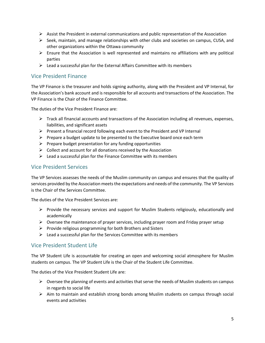- $\triangleright$  Assist the President in external communications and public representation of the Association
- $\triangleright$  Seek, maintain, and manage relationships with other clubs and societies on campus, CUSA, and other organizations within the Ottawa community
- $\triangleright$  Ensure that the Association is well represented and maintains no affiliations with any political parties
- $\triangleright$  Lead a successful plan for the External Affairs Committee with its members

### Vice President Finance

The VP Finance is the treasurer and holds signing authority, along with the President and VP Internal, for the Association's bank account and is responsible for all accounts and transactions of the Association. The VP Finance is the Chair of the Finance Committee.

The duties of the Vice President Finance are:

- $\triangleright$  Track all financial accounts and transactions of the Association including all revenues, expenses, liabilities, and significant assets
- $\triangleright$  Present a financial record following each event to the President and VP Internal
- $\triangleright$  Prepare a budget update to be presented to the Executive board once each term
- $\triangleright$  Prepare budget presentation for any funding opportunities
- $\triangleright$  Collect and account for all donations received by the Association
- $\triangleright$  Lead a successful plan for the Finance Committee with its members

### Vice President Services

The VP Services assesses the needs of the Muslim community on campus and ensures that the quality of services provided by the Association meets the expectations and needs of the community. The VP Services is the Chair of the Services Committee.

The duties of the Vice President Services are:

- $\triangleright$  Provide the necessary services and support for Muslim Students religiously, educationally and academically
- $\triangleright$  Oversee the maintenance of prayer services, including prayer room and Friday prayer setup
- $\triangleright$  Provide religious programming for both Brothers and Sisters
- $\triangleright$  Lead a successful plan for the Services Committee with its members

### Vice President Student Life

The VP Student Life is accountable for creating an open and welcoming social atmosphere for Muslim students on campus. The VP Student Life is the Chair of the Student Life Committee.

The duties of the Vice President Student Life are:

- $\triangleright$  Oversee the planning of events and activities that serve the needs of Muslim students on campus in regards to social life
- $\triangleright$  Aim to maintain and establish strong bonds among Muslim students on campus through social events and activities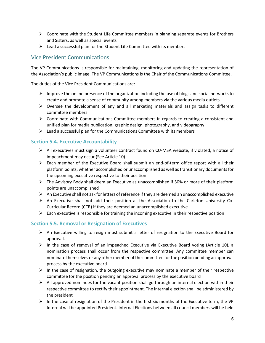- $\triangleright$  Coordinate with the Student Life Committee members in planning separate events for Brothers and Sisters, as well as special events
- $\triangleright$  Lead a successful plan for the Student Life Committee with its members

### Vice President Communications

The VP Communications is responsible for maintaining, monitoring and updating the representation of the Association's public image. The VP Communications is the Chair of the Communications Committee.

The duties of the Vice President Communications are:

- $\triangleright$  Improve the online presence of the organization including the use of blogs and social networks to create and promote a sense of community among members via the various media outlets
- $\triangleright$  Oversee the development of any and all marketing materials and assign tasks to different committee members
- $\triangleright$  Coordinate with Communications Committee members in regards to creating a consistent and unified plan for media publication, graphic design, photography, and videography
- $\triangleright$  Lead a successful plan for the Communications Committee with its members

### <span id="page-8-0"></span>**Section 5.4. Executive Accountability**

- $\triangleright$  All executives must sign a volunteer contract found on CU-MSA website, if violated, a notice of impeachment may occur (See Article 10)
- $\triangleright$  Each member of the Executive Board shall submit an end-of-term office report with all their platform points, whether accomplished or unaccomplished as well as transitionary documents for the upcoming executive respective to their position
- $\triangleright$  The Advisory Body shall deem an Executive as unaccomplished if 50% or more of their platform points are unaccomplished
- $\triangleright$  An Executive shall not ask for letters of reference if they are deemed an unaccomplished executive
- $\triangleright$  An Executive shall not add their position at the Association to the Carleton University Co-Curricular Record (CCR) if they are deemed an unaccomplished executive
- $\triangleright$  Each executive is responsible for training the incoming executive in their respective position

### <span id="page-8-1"></span>**Section 5.5. Removal or Resignation of Executives**

- $\triangleright$  An Executive willing to resign must submit a letter of resignation to the Executive Board for approval.
- $\triangleright$  In the case of removal of an impeached Executive via Executive Board voting (Article 10), a nomination process shall occur from the respective committee. Any committee member can nominate themselves or any other member of the committee for the position pending an approval process by the executive board
- $\triangleright$  In the case of resignation, the outgoing executive may nominate a member of their respective committee for the position pending an approval process by the executive board
- $\triangleright$  All approved nominees for the vacant position shall go through an internal election within their respective committee to rectify their appointment. The internal election shall be administered by the president
- $\triangleright$  In the case of resignation of the President in the first six months of the Executive term, the VP Internal will be appointed President. Internal Elections between all council members will be held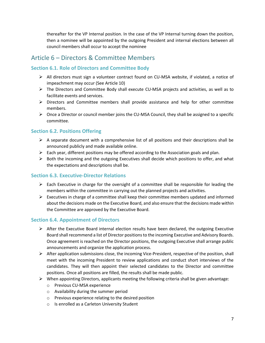thereafter for the VP Internal position. In the case of the VP Internal turning down the position, then a nominee will be appointed by the outgoing President and internal elections between all council members shall occur to accept the nominee

### <span id="page-9-0"></span>Article 6 – Directors & Committee Members

### <span id="page-9-1"></span>**Section 6.1. Role of Directors and Committee Body**

- $\triangleright$  All directors must sign a volunteer contract found on CU-MSA website, if violated, a notice of impeachment may occur (See Article 10)
- $\triangleright$  The Directors and Committee Body shall execute CU-MSA projects and activities, as well as to facilitate events and services.
- $\triangleright$  Directors and Committee members shall provide assistance and help for other committee members.
- $\triangleright$  Once a Director or council member joins the CU-MSA Council, they shall be assigned to a specific committee.

### <span id="page-9-2"></span>**Section 6.2. Positions Offering**

- $\triangleright$  A separate document with a comprehensive list of all positions and their descriptions shall be announced publicly and made available online.
- $\triangleright$  Each year, different positions may be offered according to the Association goals and plan.
- $\triangleright$  Both the incoming and the outgoing Executives shall decide which positions to offer, and what the expectations and descriptions shall be.

### <span id="page-9-3"></span>**Section 6.3. Executive-Director Relations**

- $\triangleright$  Each Executive in charge for the oversight of a committee shall be responsible for leading the members within the committee in carrying out the planned projects and activities.
- $\triangleright$  Executives in charge of a committee shall keep their committee members updated and informed about the decisions made on the Executive Board, and also ensure that the decisions made within the Committee are approved by the Executive Board.

### <span id="page-9-4"></span>**Section 6.4. Appointment of Directors**

- $\triangleright$  After the Executive Board internal election results have been declared, the outgoing Executive Board shall recommend a list of Director positions to the incoming Executive and Advisory Boards. Once agreement is reached on the Director positions, the outgoing Executive shall arrange public announcements and organize the application process.
- $\triangleright$  After application submissions close, the incoming Vice-President, respective of the position, shall meet with the incoming President to review applications and conduct short interviews of the candidates. They will then appoint their selected candidates to the Director and committee positions. Once all positions are filled, the results shall be made public.
- $\triangleright$  When appointing Directors, applicants meeting the following criteria shall be given advantage:
	- o Previous CU-MSA experience
	- o Availability during the summer period
	- o Previous experience relating to the desired position
	- o Is enrolled as a Carleton University Student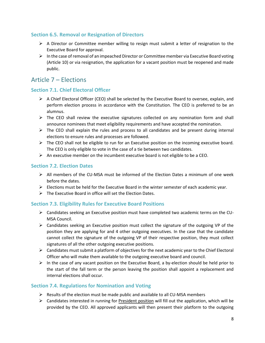### <span id="page-10-0"></span>**Section 6.5. Removal or Resignation of Directors**

- $\triangleright$  A Director or Committee member willing to resign must submit a letter of resignation to the Executive Board for approval.
- $\triangleright$  In the case of removal of an impeached Director or Committee member via Executive Board voting (Article 10) or via resignation, the application for a vacant position must be reopened and made public.

### <span id="page-10-1"></span>Article 7 – Elections

### <span id="page-10-2"></span>**Section 7.1. Chief Electoral Officer**

- $\triangleright$  A Chief Electoral Officer (CEO) shall be selected by the Executive Board to oversee, explain, and perform election process in accordance with the Constitution. The CEO is preferred to be an alumnus.
- $\triangleright$  The CEO shall review the executive signatures collected on any nomination form and shall announce nominees that meet eligibility requirements and have accepted the nomination.
- $\triangleright$  The CEO shall explain the rules and process to all candidates and be present during internal elections to ensure rules and processes are followed.
- $\triangleright$  The CEO shall not be eligible to run for an Executive position on the incoming executive board. The CEO is only eligible to vote in the case of a tie between two candidates.
- An executive member on the incumbent executive board is not eligible to be a CEO.

### <span id="page-10-3"></span>**Section 7.2. Election Dates**

- $\triangleright$  All members of the CU-MSA must be informed of the Election Dates a minimum of one week before the dates.
- $\triangleright$  Elections must be held for the Executive Board in the winter semester of each academic year.
- $\triangleright$  The Executive Board in office will set the Election Dates.

### <span id="page-10-4"></span>**Section 7.3. Eligibility Rules for Executive Board Positions**

- $\triangleright$  Candidates seeking an Executive position must have completed two academic terms on the CU-MSA Council.
- $\triangleright$  Candidates seeking an Executive position must collect the signature of the outgoing VP of the position they are applying for and 4 other outgoing executives. In the case that the candidate cannot collect the signature of the outgoing VP of their respective position, they must collect signatures of all the other outgoing executive positions.
- $\triangleright$  Candidates must submit a platform of objectives for the next academic year to the Chief Electoral Officer who will make them available to the outgoing executive board and council.
- $\triangleright$  In the case of any vacant position on the Executive Board, a by-election should be held prior to the start of the fall term or the person leaving the position shall appoint a replacement and internal elections shall occur.

### <span id="page-10-5"></span>**Section 7.4. Regulations for Nomination and Voting**

- $\triangleright$  Results of the election must be made public and available to all CU-MSA members
- $\triangleright$  Candidates interested in running for President position will fill out the application, which will be provided by the CEO. All approved applicants will then present their platform to the outgoing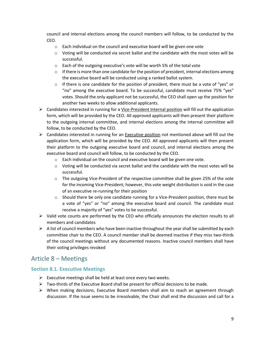council and internal elections among the council members will follow, to be conducted by the CEO.

- o Each individual on the council and executive board will be given one vote
- $\circ$  Voting will be conducted via secret ballot and the candidate with the most votes will be successful.
- o Each of the outgoing executive's vote will be worth 5% of the total vote
- $\circ$  If there is more than one candidate for the position of president, internal elections among the executive board will be conducted using a ranked ballot system.
- $\circ$  If there is one candidate for the position of president, there must be a vote of "yes" or "no" among the executive board. To be successful, candidate must receive 75% "yes" votes. Should the only applicant not be successful, the CEO shall open up the position for another two weeks to allow additional applicants.
- $\triangleright$  Candidates interested in running for a <u>Vice-President Internal position</u> will fill out the application form, which will be provided by the CEO. All approved applicants will then present their platform to the outgoing internal committee, and internal elections among the internal committee will follow, to be conducted by the CEO.
- > Candidates interested in running for an **Executive position** not mentioned above will fill out the application form, which will be provided by the CEO. All approved applicants will then present their platform to the outgoing executive board and council, and internal elections among the executive board and council will follow, to be conducted by the CEO.
	- o Each individual on the council and executive board will be given one vote.
	- $\circ$  Voting will be conducted via secret ballot and the candidate with the most votes will be successful.
	- o The outgoing Vice-President of the respective committee shall be given 25% of the vote for the incoming Vice-President; however, this vote weight distribution is void in the case of an executive re-running for their position
	- $\circ$  Should there be only one candidate running for a Vice-President position, there must be a vote of "yes" or "no" among the executive board and council. The candidate must receive a majority of "yes" votes to be successful.
- $\triangleright$  Valid vote counts are performed by the CEO who officially announces the election results to all members and candidates
- $\triangleright$  A list of council members who have been inactive throughout the year shall be submitted by each committee chair to the CEO. A council member shall be deemed inactive if they miss two-thirds of the council meetings without any documented reasons. Inactive council members shall have their voting privileges revoked

### <span id="page-11-0"></span>Article 8 – Meetings

### <span id="page-11-1"></span>**Section 8.1. Executive Meetings**

- $\triangleright$  Executive meetings shall be held at least once every two weeks.
- $\triangleright$  Two-thirds of the Executive Board shall be present for official decisions to be made.
- $\triangleright$  When making decisions, Executive Board members shall aim to reach an agreement through discussion. If the issue seems to be irresolvable, the Chair shall end the discussion and call for a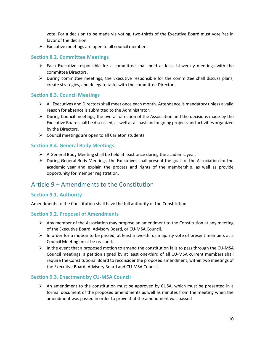vote. For a decision to be made via voting, two-thirds of the Executive Board must vote Yes in favor of the decision.

 $\triangleright$  Executive meetings are open to all council members

#### <span id="page-12-0"></span>**Section 8.2. Committee Meetings**

- $\triangleright$  Each Executive responsible for a committee shall hold at least bi-weekly meetings with the committee Directors.
- $\triangleright$  During committee meetings, the Executive responsible for the committee shall discuss plans, create strategies, and delegate tasks with the committee Directors.

#### <span id="page-12-1"></span>**Section 8.3. Council Meetings**

- $\triangleright$  All Executives and Directors shall meet once each month. Attendance is mandatory unless a valid reason for absence is submitted to the Administrator.
- $\triangleright$  During Council meetings, the overall direction of the Association and the decisions made by the Executive Board shall be discussed, as well as all past and ongoing projects and activities organized by the Directors.
- $\triangleright$  Council meetings are open to all Carleton students

#### <span id="page-12-2"></span>**Section 8.4. General Body Meetings**

- $\triangleright$  A General Body Meeting shall be held at least once during the academic year.
- $\triangleright$  During General Body Meetings, the Executives shall present the goals of the Association for the academic year and explain the process and rights of the membership, as well as provide opportunity for member registration.

### <span id="page-12-3"></span>Article 9 – Amendments to the Constitution

#### <span id="page-12-4"></span>**Section 9.1. Authority**

Amendments to the Constitution shall have the full authority of the Constitution.

#### <span id="page-12-5"></span>**Section 9.2. Proposal of Amendments**

- $\triangleright$  Any member of the Association may propose an amendment to the Constitution at any meeting of the Executive Board, Advisory Board, or CU-MSA Council.
- $\triangleright$  In order for a motion to be passed, at least a two-thirds majority vote of present members at a Council Meeting must be reached.
- $\triangleright$  In the event that a proposed motion to amend the constitution fails to pass through the CU-MSA Council meetings, a petition signed by at least one-third of all CU-MSA current members shall require the Constitutional Board to reconsider the proposed amendment, within two meetings of the Executive Board, Advisory Board and CU-MSA Council.

#### <span id="page-12-6"></span>**Section 9.3. Enactment by CU-MSA Council**

 $\triangleright$  An amendment to the constitution must be approved by CUSA, which must be presented in a formal document of the proposed amendments as well as minutes from the meeting when the amendment was passed in order to prove that the amendment was passed